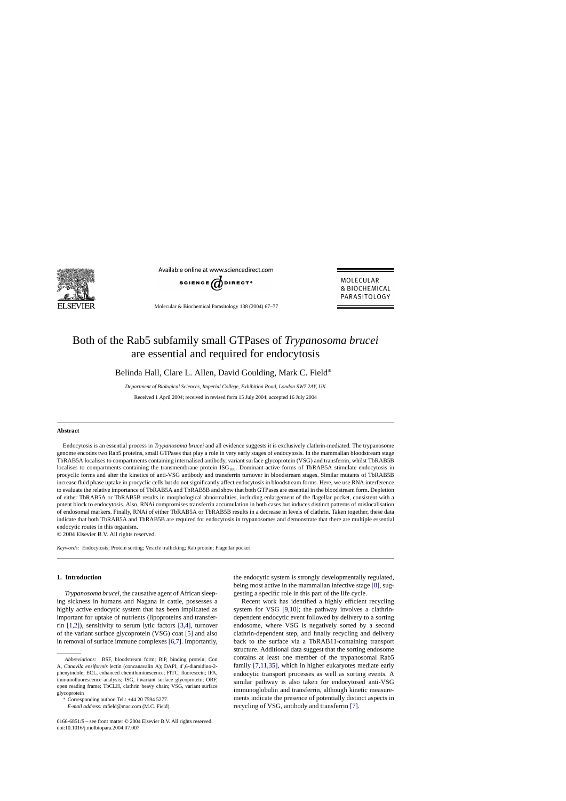

Available online at www.sciencedirect.com



Molecular & Biochemical Parasitology 138 (2004) 67–77

MOLECULAR & BIOCHEMICAL PARASITOLOGY

# Both of the Rab5 subfamily small GTPases of *Trypanosoma brucei* are essential and required for endocytosis

Belinda Hall, Clare L. Allen, David Goulding, Mark C. Field∗

*Department of Biological Sciences, Imperial College, Exhibition Road, London SW72AY, UK* Received 1 April 2004; received in revised form 15 July 2004; accepted 16 July 2004

#### **Abstract**

Endocytosis is an essential process in *Trypanosoma brucei* and all evidence suggests it is exclusively clathrin-mediated. The trypanosome genome encodes two Rab5 proteins, small GTPases that play a role in very early stages of endocytosis. In the mammalian bloodstream stage TbRAB5A localises to compartments containing internalised antibody, variant surface glycoprotein (VSG) and transferrin, whilst TbRAB5B localises to compartments containing the transmembrane protein ISG<sub>100</sub>. Dominant-active forms of TbRAB5A stimulate endocytosis in procyclic forms and alter the kinetics of anti-VSG antibody and transferrin turnover in bloodstream stages. Similar mutants of TbRAB5B increase fluid phase uptake in procyclic cells but do not significantly affect endocytosis in bloodstream forms. Here, we use RNA interference to evaluate the relative importance of TbRAB5A and TbRAB5B and show that both GTPases are essential in the bloodstream form. Depletion of either TbRAB5A or TbRAB5B results in morphological abnormalities, including enlargement of the flagellar pocket, consistent with a potent block to endocytosis. Also, RNAi compromises transferrin accumulation in both cases but induces distinct patterns of mislocalisation of endosomal markers. Finally, RNAi of either TbRAB5A or TbRAB5B results in a decrease in levels of clathrin. Taken together, these data indicate that both TbRAB5A and TbRAB5B are required for endocytosis in trypanosomes and demonstrate that there are multiple essential endocytic routes in this organism.

© 2004 Elsevier B.V. All rights reserved.

*Keywords:* Endocytosis; Protein sorting; Vesicle trafficking; Rab protein; Flagellar pocket

# **1. Introduction**

*Trypanosoma brucei*, the causative agent of African sleeping sickness in humans and Nagana in cattle, possesses a highly active endocytic system that has been implicated as important for uptake of nutrients (lipoproteins and transferrin [\[1,2\]\),](#page-9-0) sensitivity to serum lytic factors [\[3,4\],](#page-9-0) turnover of the variant surface glycoprotein (VSG) coat [\[5\]](#page-9-0) and also in removal of surface immune complexes [\[6,7\]. I](#page-9-0)mportantly, the endocytic system is strongly developmentally regulated, being most active in the mammalian infective stage [\[8\], s](#page-9-0)uggesting a specific role in this part of the life cycle.

Recent work has identified a highly efficient recycling system for VSG [\[9,10\];](#page-9-0) the pathway involves a clathrindependent endocytic event followed by delivery to a sorting endosome, where VSG is negatively sorted by a second clathrin-dependent step, and finally recycling and delivery back to the surface via a TbRAB11-containing transport structure. Additional data suggest that the sorting endosome contains at least one member of the trypanosomal Rab5 family [\[7,11,35\],](#page-9-0) which in higher eukaryotes mediate early endocytic transport processes as well as sorting events. A similar pathway is also taken for endocytosed anti-VSG immunoglobulin and transferrin, although kinetic measurements indicate the presence of potentially distinct aspects in recycling of VSG, antibody and transferrin [\[7\].](#page-9-0)

*Abbreviations:* BSF, bloodstream form; BiP, binding protein; Con A, Canavila ensiformis lectin (concanavalin A); DAPI, 4',6-diamidino-2phenyindole; ECL, enhanced chemiluminescence; FITC, fluorescein; IFA, immunofluorescence analysis; ISG, invariant surface glycoprotein; ORF, open reading frame; TbCLH, clathrin heavy chain; VSG, variant surface glycoprotein

<sup>∗</sup> Corresponding author. Tel.: +44 20 7594 5277.

*E-mail address:* mfield@mac.com (M.C. Field).

<sup>0166-6851/\$ –</sup> see front matter © 2004 Elsevier B.V. All rights reserved. doi:10.1016/j.molbiopara.2004.07.007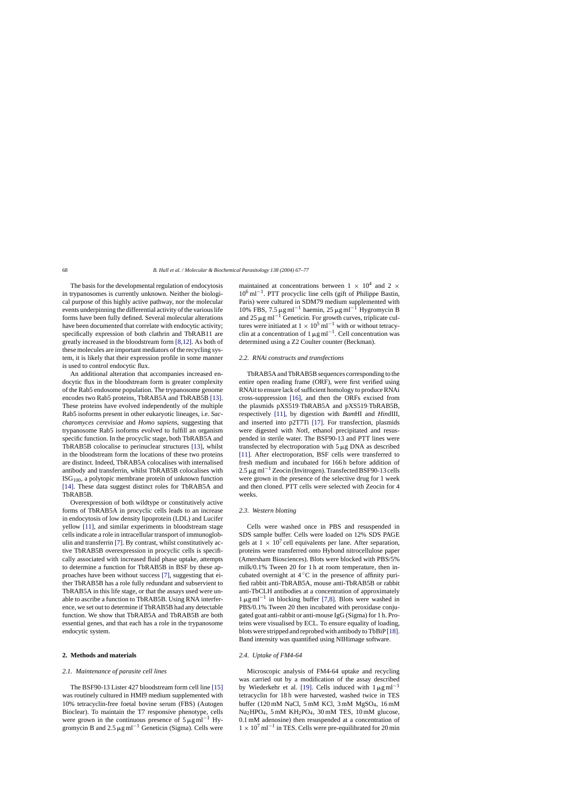The basis for the developmental regulation of endocytosis in trypanosomes is currently unknown. Neither the biological purpose of this highly active pathway, nor the molecular events underpinning the differential activity of the various life forms have been fully defined. Several molecular alterations have been documented that correlate with endocytic activity; specifically expression of both clathrin and TbRAB11 are greatly increased in the bloodstream form [\[8,12\]. A](#page-9-0)s both of these molecules are important mediators of the recycling system, it is likely that their expression profile in some manner is used to control endocytic flux.

An additional alteration that accompanies increased endocytic flux in the bloodstream form is greater complexity of the Rab5 endosome population. The trypanosome genome encodes two Rab5 proteins, TbRAB5A and TbRAB5B [\[13\].](#page-9-0) These proteins have evolved independently of the multiple Rab5 isoforms present in other eukaryotic lineages, i.e. *Saccharomyces cerevisiae* and *Homo sapiens*, suggesting that trypanosome Rab5 isoforms evolved to fulfill an organism specific function. In the procyclic stage, both TbRAB5A and TbRAB5B colocalise to perinuclear structures [\[13\],](#page-9-0) whilst in the bloodstream form the locations of these two proteins are distinct. Indeed, TbRAB5A colocalises with internalised antibody and transferrin, whilst TbRAB5B colocalises with  $\text{ISG}_{100}$ , a polytopic membrane protein of unknown function [\[14\].](#page-9-0) These data suggest distinct roles for TbRAB5A and TbRAB5B.

Overexpression of both wildtype or constitutively active forms of TbRAB5A in procyclic cells leads to an increase in endocytosis of low density lipoprotein (LDL) and Lucifer yellow [\[11\],](#page-9-0) and similar experiments in bloodstream stage cells indicate a role in intracellular transport of immunoglobulin and transferrin [\[7\].](#page-9-0) By contrast, whilst constitutively active TbRAB5B overexpression in procyclic cells is specifically associated with increased fluid phase uptake, attempts to determine a function for TbRAB5B in BSF by these approaches have been without success [\[7\],](#page-9-0) suggesting that either TbRAB5B has a role fully redundant and subservient to TbRAB5A in this life stage, or that the assays used were unable to ascribe a function to TbRAB5B. Using RNA interference, we set out to determine if TbRAB5B had any detectable function. We show that TbRAB5A and TbRAB5B are both essential genes, and that each has a role in the trypanosome endocytic system.

## **2. Methods and materials**

## *2.1. Maintenance of parasite cell lines*

The BSF90-13 Lister 427 bloodstream form cell line [\[15\]](#page-9-0) was routinely cultured in HMI9 medium supplemented with 10% tetracyclin-free foetal bovine serum (FBS) (Autogen Bioclear). To maintain the T7 responsive phenotype, cells were grown in the continuous presence of  $5 \mu g \text{ ml}^{-1}$  Hygromycin B and 2.5  $\mu$ g ml<sup>-1</sup> Geneticin (Sigma). Cells were

maintained at concentrations between  $1 \times 10^4$  and  $2 \times$ 106 ml−1. PTT procyclic line cells (gift of Philippe Bastin, Paris) were cultured in SDM79 medium supplemented with 10% FBS, 7.5 μg ml<sup>-1</sup> haemin, 25 μg ml<sup>-1</sup> Hygromycin B and 25  $\mu$ g ml<sup>-1</sup> Geneticin. For growth curves, triplicate cultures were initiated at  $1 \times 10^5$  ml<sup>-1</sup> with or without tetracyclin at a concentration of 1  $\mu$ g ml<sup>-1</sup>. Cell concentration was determined using a Z2 Coulter counter (Beckman).

#### *2.2. RNAi constructs and transfections*

TbRAB5A and TbRAB5B sequences corresponding to the entire open reading frame (ORF), were first verified using RNAit to ensure lack of sufficient homology to produce RNAi cross-suppression [\[16\],](#page-9-0) and then the ORFs excised from the plasmids pXS519·TbRAB5A and pXS519·TbRAB5B, respectively [\[11\],](#page-9-0) by digestion with *Bam*HI and *Hin*dIII, and inserted into p2T7Ti [\[17\].](#page-9-0) For transfection, plasmids were digested with *Not*I, ethanol precipitated and resuspended in sterile water. The BSF90-13 and PTT lines were transfected by electroporation with  $5 \mu g$  DNA as described [\[11\].](#page-9-0) After electroporation, BSF cells were transferred to fresh medium and incubated for 166 h before addition of 2.5 μg ml<sup>-1</sup> Zeocin (Invitrogen). Transfected BSF90-13 cells were grown in the presence of the selective drug for 1 week and then cloned. PTT cells were selected with Zeocin for 4 weeks.

#### *2.3. Western blotting*

Cells were washed once in PBS and resuspended in SDS sample buffer. Cells were loaded on 12% SDS PAGE gels at  $1 \times 10^7$  cell equivalents per lane. After separation, proteins were transferred onto Hybond nitrocellulose paper (Amersham Biosciences). Blots were blocked with PBS/5% milk/0.1% Tween 20 for 1 h at room temperature, then incubated overnight at  $4^\circ$ C in the presence of affinity purified rabbit anti-TbRAB5A, mouse anti-TbRAB5B or rabbit anti-TbCLH antibodies at a concentration of approximately  $1 \mu$ g ml<sup>-1</sup> in blocking buffer [\[7,8\].](#page-9-0) Blots were washed in PBS/0.1% Tween 20 then incubated with peroxidase conjugated goat anti-rabbit or anti-mouse IgG (Sigma) for 1 h. Proteins were visualised by ECL. To ensure equality of loading, blots were stripped and reprobed with antibody to TbBiP [\[18\].](#page-9-0) Band intensity was quantified using NIHimage software.

## *2.4. Uptake of FM4-64*

Microscopic analysis of FM4-64 uptake and recycling was carried out by a modification of the assay described by Wiederkehr et al. [\[19\].](#page-9-0) Cells induced with  $1 \mu$ g ml<sup>-1</sup> tetracyclin for 18 h were harvested, washed twice in TES buffer (120 mM NaCl, 5 mM KCl, 3 mM MgSO4, 16 mM Na<sub>2</sub>HPO<sub>4</sub>, 5 mM KH<sub>2</sub>PO<sub>4</sub>, 30 mM TES, 10 mM glucose, 0.1 mM adenosine) then resuspended at a concentration of  $1 \times 10^7$  ml<sup>-1</sup> in TES. Cells were pre-equilibrated for 20 min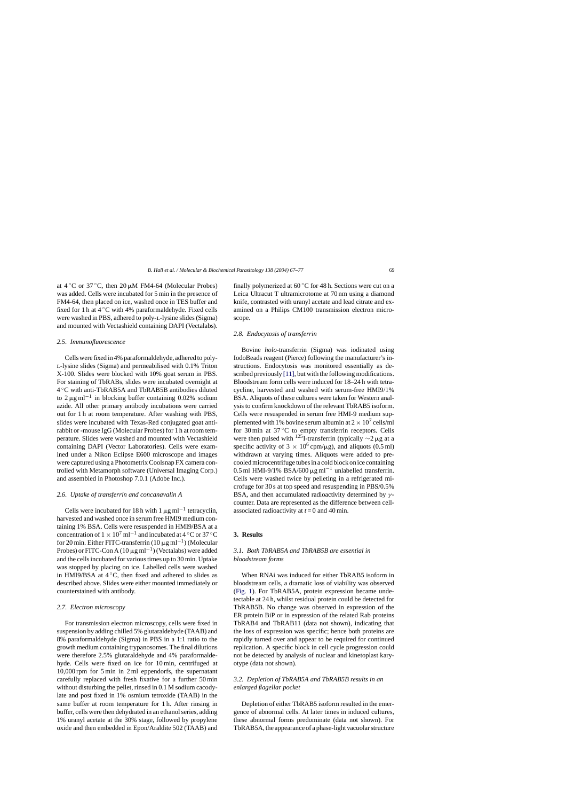at  $4^{\circ}$ C or 37  $^{\circ}$ C, then 20  $\mu$ M FM4-64 (Molecular Probes) was added. Cells were incubated for 5 min in the presence of FM4-64, then placed on ice, washed once in TES buffer and fixed for 1 h at  $4^{\circ}$ C with 4% paraformaldehyde. Fixed cells were washed in PBS, adhered to poly-l-lysine slides (Sigma) and mounted with Vectashield containing DAPI (Vectalabs).

#### *2.5. Immunofluorescence*

Cells were fixed in 4% paraformaldehyde, adhered to polyl-lysine slides (Sigma) and permeabilised with 0.1% Triton X-100. Slides were blocked with 10% goat serum in PBS. For staining of TbRABs, slides were incubated overnight at 4 ◦C with anti-TbRAB5A and TbRAB5B antibodies diluted to  $2 \mu$ g ml<sup>-1</sup> in blocking buffer containing 0.02% sodium azide. All other primary antibody incubations were carried out for 1 h at room temperature. After washing with PBS, slides were incubated with Texas-Red conjugated goat antirabbit or -mouse IgG (Molecular Probes) for 1 h at room temperature. Slides were washed and mounted with Vectashield containing DAPI (Vector Laboratories). Cells were examined under a Nikon Eclipse E600 microscope and images were captured using a Photometrix Coolsnap FX camera controlled with Metamorph software (Universal Imaging Corp.) and assembled in Photoshop 7.0.1 (Adobe Inc.).

## *2.6. Uptake of transferrin and concanavalin A*

Cells were incubated for 18 h with  $1 \mu g$  ml<sup>-1</sup> tetracyclin, harvested and washed once in serum free HMI9 medium containing 1% BSA. Cells were resuspended in HMI9/BSA at a concentration of  $1 \times 10^7$  ml<sup>-1</sup> and incubated at 4 °C or 37 °C for 20 min. Either FITC-transferrin (10  $\mu$ g ml<sup>-1</sup>) (Molecular Probes) or FITC-Con A (10  $\mu$ g ml<sup>-1</sup>) (Vectalabs) were added and the cells incubated for various times up to 30 min. Uptake was stopped by placing on ice. Labelled cells were washed in HMI9/BSA at  $4^\circ$ C, then fixed and adhered to slides as described above. Slides were either mounted immediately or counterstained with antibody.

#### *2.7. Electron microscopy*

For transmission electron microscopy, cells were fixed in suspension by adding chilled 5% glutaraldehyde (TAAB) and 8% paraformaldehyde (Sigma) in PBS in a 1:1 ratio to the growth medium containing trypanosomes. The final dilutions were therefore 2.5% glutaraldehyde and 4% paraformaldehyde. Cells were fixed on ice for 10 min, centrifuged at 10,000 rpm for 5 min in 2 ml eppendorfs, the supernatant carefully replaced with fresh fixative for a further 50 min without disturbing the pellet, rinsed in 0.1 M sodium cacodylate and post fixed in 1% osmium tetroxide (TAAB) in the same buffer at room temperature for 1 h. After rinsing in buffer, cells were then dehydrated in an ethanol series, adding 1% uranyl acetate at the 30% stage, followed by propylene oxide and then embedded in Epon/Araldite 502 (TAAB) and

finally polymerized at  $60^{\circ}$ C for 48 h. Sections were cut on a Leica Ultracut T ultramicrotome at 70 nm using a diamond knife, contrasted with uranyl acetate and lead citrate and examined on a Philips CM100 transmission electron microscope.

# *2.8. Endocytosis of transferrin*

Bovine *holo*-transferrin (Sigma) was iodinated using IodoBeads reagent (Pierce) following the manufacturer's instructions. Endocytosis was monitored essentially as de-scribed previously [\[11\], b](#page-9-0)ut with the following modifications. Bloodstream form cells were induced for 18–24 h with tetracycline, harvested and washed with serum-free HMI9/1% BSA. Aliquots of these cultures were taken for Western analysis to confirm knockdown of the relevant TbRAB5 isoform. Cells were resuspended in serum free HMI-9 medium supplemented with 1% bovine serum albumin at  $2 \times 10^7$  cells/ml for 30 min at 37 ◦C to empty transferrin receptors. Cells were then pulsed with <sup>125</sup>I-transferrin (typically  $\sim$ 2 µg at a specific activity of  $3 \times 10^6$  cpm/ $\mu$ g), and aliquots (0.5 ml) withdrawn at varying times. Aliquots were added to precooled microcentrifuge tubes in a cold block on ice containing  $0.5$  ml HMI-9/1% BSA/600 μg ml<sup>-1</sup> unlabelled transferrin. Cells were washed twice by pelleting in a refrigerated microfuge for 30 s at top speed and resuspending in PBS/0.5% BSA, and then accumulated radioactivity determined by  $\gamma$ counter. Data are represented as the difference between cellassociated radioactivity at *t* = 0 and 40 min.

# **3. Results**

# *3.1. Both TbRAB5A and TbRAB5B are essential in bloodstream forms*

When RNAi was induced for either TbRAB5 isoform in bloodstream cells, a dramatic loss of viability was observed ([Fig. 1\).](#page-3-0) For TbRAB5A, protein expression became undetectable at 24 h, whilst residual protein could be detected for TbRAB5B. No change was observed in expression of the ER protein BiP or in expression of the related Rab proteins TbRAB4 and TbRAB11 (data not shown), indicating that the loss of expression was specific; hence both proteins are rapidly turned over and appear to be required for continued replication. A specific block in cell cycle progression could not be detected by analysis of nuclear and kinetoplast karyotype (data not shown).

# *3.2. Depletion of TbRAB5A and TbRAB5B results in an enlarged flagellar pocket*

Depletion of either TbRAB5 isoform resulted in the emergence of abnormal cells. At later times in induced cultures, these abnormal forms predominate (data not shown). For TbRAB5A, the appearance of a phase-light vacuolar structure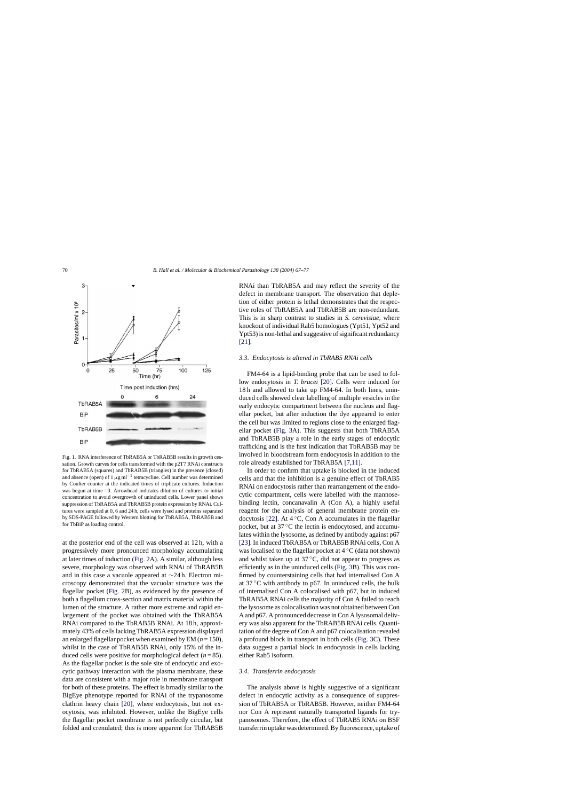<span id="page-3-0"></span>

Fig. 1. RNA interference of TbRAB5A or TbRAB5B results in growth cessation. Growth curves for cells transformed with the p2T7 RNAi constructs for TbRAB5A (squares) and TbRAB5B (triangles) in the presence (closed) and absence (open) of  $1 \mu g$  ml<sup>-1</sup> tetracycline. Cell number was determined by Coulter counter at the indicated times of triplicate cultures. Induction was begun at time = 0. Arrowhead indicates dilution of cultures to initial concentration to avoid overgrowth of uninduced cells. Lower panel shows suppression of TbRAB5A and TbRAB5B protein expression by RNAi. Cultures were sampled at 0, 6 and 24 h, cells were lysed and proteins separated by SDS-PAGE followed by Western blotting for TbRAB5A, TbRAB5B and for TbBiP as loading control.

at the posterior end of the cell was observed at 12 h, with a progressively more pronounced morphology accumulating at later times of induction ([Fig. 2A](#page-4-0)). A similar, although less severe, morphology was observed with RNAi of TbRAB5B and in this case a vacuole appeared at ∼24 h. Electron microscopy demonstrated that the vacuolar structure was the flagellar pocket ([Fig. 2B](#page-4-0)), as evidenced by the presence of both a flagellum cross-section and matrix material within the lumen of the structure. A rather more extreme and rapid enlargement of the pocket was obtained with the TbRAB5A RNAi compared to the TbRAB5B RNAi. At 18 h, approximately 43% of cells lacking TbRAB5A expression displayed an enlarged flagellar pocket when examined by EM  $(n = 150)$ , whilst in the case of TbRAB5B RNAi, only 15% of the induced cells were positive for morphological defect  $(n = 85)$ . As the flagellar pocket is the sole site of endocytic and exocytic pathway interaction with the plasma membrane, these data are consistent with a major role in membrane transport for both of these proteins. The effect is broadly similar to the BigEye phenotype reported for RNAi of the trypanosome clathrin heavy chain [\[20\],](#page-9-0) where endocytosis, but not exocytosis, was inhibited. However, unlike the BigEye cells the flagellar pocket membrane is not perfectly circular, but folded and crenulated; this is more apparent for TbRAB5B

RNAi than TbRAB5A and may reflect the severity of the defect in membrane transport. The observation that depletion of either protein is lethal demonstrates that the respective roles of TbRAB5A and TbRAB5B are non-redundant. This is in sharp contrast to studies in *S. cerevisiae*, where knockout of individual Rab5 homologues (Ypt51, Ypt52 and Ypt53) is non-lethal and suggestive of significant redundancy [\[21\].](#page-9-0)

#### *3.3. Endocytosis is altered in TbRAB5 RNAi cells*

FM4-64 is a lipid-binding probe that can be used to follow endocytosis in *T. brucei* [\[20\].](#page-9-0) Cells were induced for 18 h and allowed to take up FM4-64. In both lines, uninduced cells showed clear labelling of multiple vesicles in the early endocytic compartment between the nucleus and flagellar pocket, but after induction the dye appeared to enter the cell but was limited to regions close to the enlarged flagellar pocket ([Fig. 3A](#page-5-0)). This suggests that both TbRAB5A and TbRAB5B play a role in the early stages of endocytic trafficking and is the first indication that TbRAB5B may be involved in bloodstream form endocytosis in addition to the role already established for TbRAB5A [\[7,11\].](#page-9-0)

In order to confirm that uptake is blocked in the induced cells and that the inhibition is a genuine effect of TbRAB5 RNAi on endocytosis rather than rearrangement of the endocytic compartment, cells were labelled with the mannosebinding lectin, concanavalin A (Con A), a highly useful reagent for the analysis of general membrane protein en-docytosis [\[22\].](#page-9-0) At  $4^\circ$ C, Con A accumulates in the flagellar pocket, but at 37 ◦C the lectin is endocytosed, and accumulates within the lysosome, as defined by antibody against p67 [\[23\]. I](#page-9-0)n induced TbRAB5A or TbRAB5B RNAi cells, Con A was localised to the flagellar pocket at 4 ◦C (data not shown) and whilst taken up at  $37^{\circ}$ C, did not appear to progress as efficiently as in the uninduced cells [\(Fig. 3B](#page-5-0)). This was confirmed by counterstaining cells that had internalised Con A at  $37^{\circ}$ C with antibody to p67. In uninduced cells, the bulk of internalised Con A colocalised with p67, but in induced TbRAB5A RNAi cells the majority of Con A failed to reach the lysosome as colocalisation was not obtained between Con A and p67. A pronounced decrease in Con A lysosomal delivery was also apparent for the TbRAB5B RNAi cells. Quantitation of the degree of Con A and p67 colocalisation revealed a profound block in transport in both cells [\(Fig. 3C](#page-5-0)). These data suggest a partial block in endocytosis in cells lacking either Rab5 isoform.

## *3.4. Transferrin endocytosis*

The analysis above is highly suggestive of a significant defect in endocytic activity as a consequence of suppression of TbRAB5A or TbRAB5B. However, neither FM4-64 nor Con A represent naturally transported ligands for trypanosomes. Therefore, the effect of TbRAB5 RNAi on BSF transferrin uptake was determined. By fluorescence, uptake of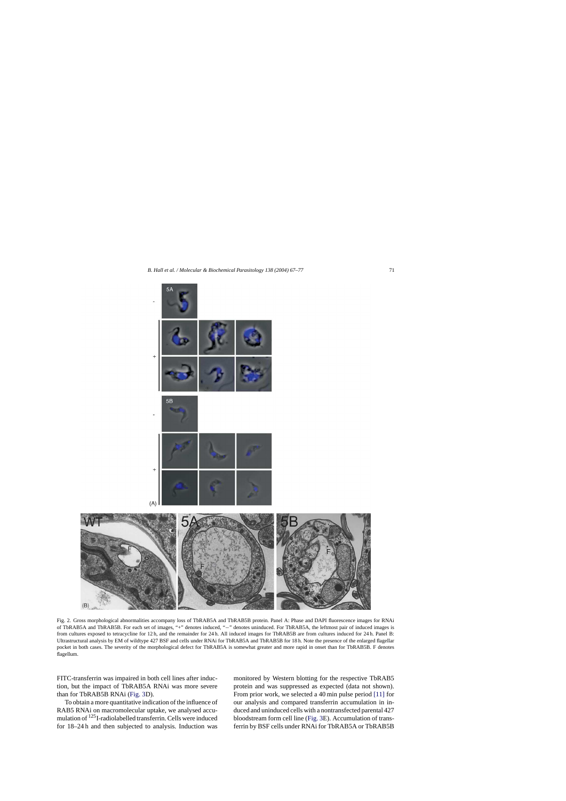<span id="page-4-0"></span>

Fig. 2. Gross morphological abnormalities accompany loss of TbRAB5A and TbRAB5B protein. Panel A: Phase and DAPI fluorescence images for RNAi of TbRAB5A and TbRAB5B. For each set of images, "+" denotes induced, "−" denotes uninduced. For TbRAB5A, the leftmost pair of induced images is from cultures exposed to tetracycline for 12 h, and the remainder for 24 h. All induced images for TbRAB5B are from cultures induced for 24 h. Panel B: Ultrastructural analysis by EM of wildtype 427 BSF and cells under RNAi for TbRAB5A and TbRAB5B for 18 h. Note the presence of the enlarged flagellar pocket in both cases. The severity of the morphological defect for TbRAB5A is somewhat greater and more rapid in onset than for TbRAB5B. F denotes flagellum.

FITC-transferrin was impaired in both cell lines after induction, but the impact of TbRAB5A RNAi was more severe than for TbRAB5B RNAi [\(Fig. 3D](#page-5-0)).

To obtain a more quantitative indication of the influence of RAB5 RNAi on macromolecular uptake, we analysed accumulation of 125I-radiolabelled transferrin. Cells were induced for 18–24 h and then subjected to analysis. Induction was

monitored by Western blotting for the respective TbRAB5 protein and was suppressed as expected (data not shown). From prior work, we selected a 40 min pulse period [\[11\]](#page-9-0) for our analysis and compared transferrin accumulation in induced and uninduced cells with a nontransfected parental 427 bloodstream form cell line ([Fig. 3E](#page-5-0)). Accumulation of transferrin by BSF cells under RNAi for TbRAB5A or TbRAB5B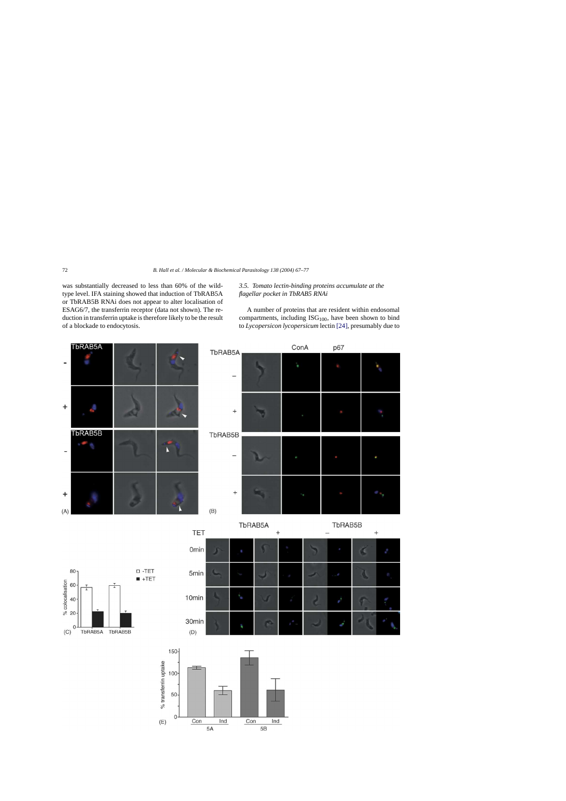<span id="page-5-0"></span>was substantially decreased to less than 60% of the wildtype level. IFA staining showed that induction of TbRAB5A or TbRAB5B RNAi does not appear to alter localisation of ESAG6/7, the transferrin receptor (data not shown). The reduction in transferrin uptake is therefore likely to be the result of a blockade to endocytosis.

# *3.5. Tomato lectin-binding proteins accumulate at the flagellar pocket in TbRAB5 RNAi*

A number of proteins that are resident within endosomal compartments, including  $\text{ISG}_{100}$ , have been shown to bind to *Lycopersicon lycopersicum* lectin [\[24\], p](#page-9-0)resumably due to







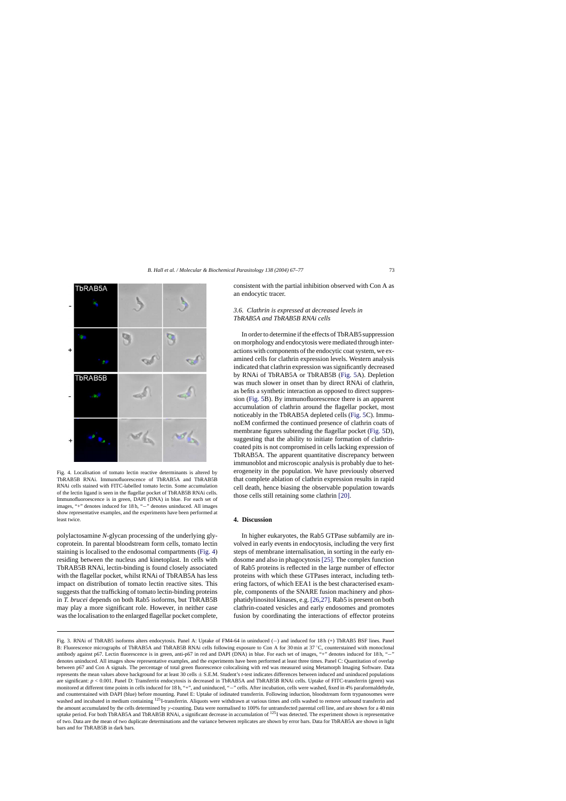

Fig. 4. Localisation of tomato lectin reactive determinants is altered by TbRAB5B RNAi. Immunofluorescence of TbRAB5A and TbRAB5B RNAi cells stained with FITC-labelled tomato lectin. Some accumulation of the lectin ligand is seen in the flagellar pocket of TbRAB5B RNAi cells. Immunofluoroescence is in green, DAPI (DNA) in blue. For each set of images, "+" denotes induced for 18 h, "−" denotes uninduced. All images show representative examples, and the experiments have been performed at least twice.

polylactosamine *N*-glycan processing of the underlying glycoprotein. In parental bloodstream form cells, tomato lectin staining is localised to the endosomal compartments (Fig. 4) residing between the nucleus and kinetoplast. In cells with TbRAB5B RNAi, lectin-binding is found closely associated with the flagellar pocket, whilst RNAi of TbRAB5A has less impact on distribution of tomato lectin reactive sites. This suggests that the trafficking of tomato lectin-binding proteins in *T. brucei* depends on both Rab5 isoforms, but TbRAB5B may play a more significant role. However, in neither case was the localisation to the enlarged flagellar pocket complete, consistent with the partial inhibition observed with Con A as an endocytic tracer.

# *3.6. Clathrin is expressed at decreased levels in TbRAB5A and TbRAB5B RNAi cells*

In order to determine if the effects of TbRAB5 suppression on morphology and endocytosis were mediated through interactions with components of the endocytic coat system, we examined cells for clathrin expression levels. Western analysis indicated that clathrin expression was significantly decreased by RNAi of TbRAB5A or TbRAB5B [\(Fig. 5A](#page-7-0)). Depletion was much slower in onset than by direct RNAi of clathrin, as befits a synthetic interaction as opposed to direct suppression [\(Fig. 5B](#page-7-0)). By immunofluorescence there is an apparent accumulation of clathrin around the flagellar pocket, most noticeably in the TbRAB5A depleted cells ([Fig. 5C](#page-7-0)). ImmunoEM confirmed the continued presence of clathrin coats of membrane figures subtending the flagellar pocket [\(Fig. 5D](#page-7-0)), suggesting that the ability to initiate formation of clathrincoated pits is not compromised in cells lacking expression of TbRAB5A. The apparent quantitative discrepancy between immunoblot and microscopic analysis is probably due to heterogeneity in the population. We have previously observed that complete ablation of clathrin expression results in rapid cell death, hence biasing the observable population towards those cells still retaining some clathrin [\[20\].](#page-9-0)

## **4. Discussion**

In higher eukaryotes, the Rab5 GTPase subfamily are involved in early events in endocytosis, including the very first steps of membrane internalisation, in sorting in the early endosome and also in phagocytosis [\[25\]. T](#page-9-0)he complex function of Rab5 proteins is reflected in the large number of effector proteins with which these GTPases interact, including tethering factors, of which EEA1 is the best characterised example, components of the SNARE fusion machinery and phosphatidylinositol kinases, e.g. [\[26,27\]. R](#page-9-0)ab5 is present on both clathrin-coated vesicles and early endosomes and promotes fusion by coordinating the interactions of effector proteins

Fig. 3. RNAi of TbRAB5 isoforms alters endocytosis. Panel A: Uptake of FM4-64 in uninduced (−) and induced for 18 h (+) TbRAB5 BSF lines. Panel B: Fluorescence micrographs of TbRAB5A and TbRAB5B RNAi cells following exposure to Con A for 30 min at 37 ℃, counterstained with monoclonal antibody against p67. Lectin fluorescence is in green, anti-p67 in red and DAPI (DNA) in blue. For each set of images, "+" denotes induced for 18 h, "−" denotes uninduced. All images show representative examples, and the experiments have been performed at least three times. Panel C: Quantitation of overlap between p67 and Con A signals. The percentage of total green fluorescence colocalising with red was measured using Metamorph Imaging Software. Data represents the mean values above background for at least 30 cells ± S.E.M. Student's *t*-test indicates differences between induced and uninduced populations are significant:  $p < 0.001$ . Panel D: Transferrin endocytosis is decreased in TbRAB5A and TbRAB5B RNAi cells. Uptake of FITC-transferrin (green) was monitored at different time points in cells induced for 18 h, "+", and uninduced, "−" cells. After incubation, cells were washed, fixed in 4% paraformaldehyde, and counterstained with DAPI (blue) before mounting. Panel E: Uptake of iodinated transferrin. Following induction, bloodstream form trypanosomes were washed and incubated in medium containing <sup>125</sup>I-transferrin. Aliquots were withdrawn at various times and cells washed to remove unbound transferrin and the amount accumulated by the cells determined by γ-counting. Data were normalised to 100% for untransfected parental cell line, and are shown for a 40 min uptake period. For both TbRAB5A and TbRAB5B RNAi, a significant decrease in accumulation of  $^{125}$ I was detected. The experiment shown is representative of two. Data are the mean of two duplicate determinations and the variance between replicates are shown by error bars. Data for TbRAB5A are shown in light bars and for TbRAB5B in dark bars.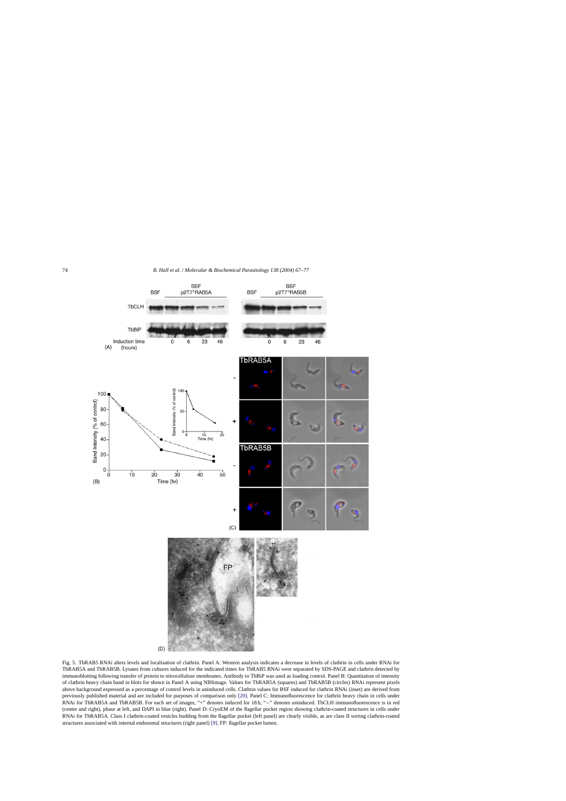<span id="page-7-0"></span>

Fig. 5. TbRAB5 RNAi alters levels and localisation of clathrin. Panel A: Western analysis indicates a decrease in levels of clathrin in cells under RNAi for TbRAB5A and TbRAB5B. Lysates from cultures induced for the indicated times for TbRAB5 RNAi were separated by SDS-PAGE and clathrin detected by immunoblotting following transfer of protein to nitrocellulose membranes. Antibody to TbBiP was used as loading control. Panel B: Quantitation of intensity of clathrin heavy chain band in blots for shown in Panel A using NIHimage. Values for TbRAB5A (squares) and TbRAB5B (circles) RNAi represent pixels above background expressed as a percentage of control levels in uninduced cells. Clathrin values for BSF induced for clathrin RNAi (inset) are derived from previously published material and are included for purposes of comparison only [\[20\]. P](#page-9-0)anel C: Immunofluorescence for clathrin heavy chain in cells under RNAi for TbRAB5A and TbRAB5B. For each set of images, "+" denotes induced for 18 h, "−" denotes uninduced. TbCLH immunofluorescence is in red (centre and right), phase at left, and DAPI in blue (right). Panel D: CryoEM of the flagellar pocket region showing clathrin-coated structures in cells under RNAi for TbRAB5A. Class I clathrin-coated vesicles budding from the flagellar pocket (left panel) are clearly visible, as are class II sorting clathrin-coated structures associated with internal endosomal structures (right panel) [\[9\]. F](#page-9-0)P: flagellar pocket lumen.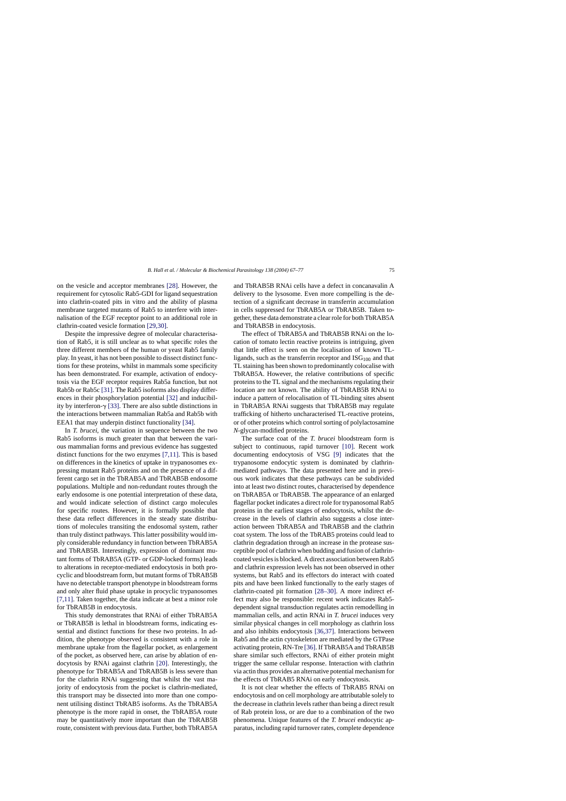on the vesicle and acceptor membranes [\[28\].](#page-9-0) However, the requirement for cytosolic Rab5-GDI for ligand sequestration into clathrin-coated pits in vitro and the ability of plasma membrane targeted mutants of Rab5 to interfere with internalisation of the EGF receptor point to an additional role in clathrin-coated vesicle formation [\[29,30\].](#page-9-0)

Despite the impressive degree of molecular characterisation of Rab5, it is still unclear as to what specific roles the three different members of the human or yeast Rab5 family play. In yeast, it has not been possible to dissect distinct functions for these proteins, whilst in mammals some specificity has been demonstrated. For example, activation of endocytosis via the EGF receptor requires Rab5a function, but not Rab5b or Rab5c [\[31\]. T](#page-9-0)he Rab5 isoforms also display differences in their phosphorylation potential [\[32\]](#page-10-0) and inducibility by interferon- $\gamma$  [\[33\].](#page-10-0) There are also subtle distinctions in the interactions between mammalian Rab5a and Rab5b with EEA1 that may underpin distinct functionality [\[34\].](#page-10-0)

In *T. brucei*, the variation in sequence between the two Rab5 isoforms is much greater than that between the various mammalian forms and previous evidence has suggested distinct functions for the two enzymes [\[7,11\].](#page-9-0) This is based on differences in the kinetics of uptake in trypanosomes expressing mutant Rab5 proteins and on the presence of a different cargo set in the TbRAB5A and TbRAB5B endosome populations. Multiple and non-redundant routes through the early endosome is one potential interpretation of these data, and would indicate selection of distinct cargo molecules for specific routes. However, it is formally possible that these data reflect differences in the steady state distributions of molecules transiting the endosomal system, rather than truly distinct pathways. This latter possibility would imply considerable redundancy in function between TbRAB5A and TbRAB5B. Interestingly, expression of dominant mutant forms of TbRAB5A (GTP- or GDP-locked forms) leads to alterations in receptor-mediated endocytosis in both procyclic and bloodstream form, but mutant forms of TbRAB5B have no detectable transport phenotype in bloodstream forms and only alter fluid phase uptake in procyclic trypanosomes [\[7,11\]. T](#page-9-0)aken together, the data indicate at best a minor role for TbRAB5B in endocytosis.

This study demonstrates that RNAi of either TbRAB5A or TbRAB5B is lethal in bloodstream forms, indicating essential and distinct functions for these two proteins. In addition, the phenotype observed is consistent with a role in membrane uptake from the flagellar pocket, as enlargement of the pocket, as observed here, can arise by ablation of endocytosis by RNAi against clathrin [\[20\].](#page-9-0) Interestingly, the phenotype for TbRAB5A and TbRAB5B is less severe than for the clathrin RNAi suggesting that whilst the vast majority of endocytosis from the pocket is clathrin-mediated, this transport may be dissected into more than one component utilising distinct TbRAB5 isoforms. As the TbRAB5A phenotype is the more rapid in onset, the TbRAB5A route may be quantitatively more important than the TbRAB5B route, consistent with previous data. Further, both TbRAB5A

and TbRAB5B RNAi cells have a defect in concanavalin A delivery to the lysosome. Even more compelling is the detection of a significant decrease in transferrin accumulation in cells suppressed for TbRAB5A or TbRAB5B. Taken together, these data demonstrate a clear role for both TbRAB5A and TbRAB5B in endocytosis.

The effect of TbRAB5A and TbRAB5B RNAi on the location of tomato lectin reactive proteins is intriguing, given that little effect is seen on the localisation of known TLligands, such as the transferrin receptor and  $\text{ISG}_{100}$  and that TL staining has been shown to predominantly colocalise with TbRAB5A. However, the relative contributions of specific proteins to the TL signal and the mechanisms regulating their location are not known. The ability of TbRAB5B RNAi to induce a pattern of relocalisation of TL-binding sites absent in TbRAB5A RNAi suggests that TbRAB5B may regulate trafficking of hitherto uncharacterised TL-reactive proteins, or of other proteins which control sorting of polylactosamine *N*-glycan-modified proteins.

The surface coat of the *T. brucei* bloodstream form is subject to continuous, rapid turnover [\[10\].](#page-9-0) Recent work documenting endocytosis of VSG [\[9\]](#page-9-0) indicates that the trypanosome endocytic system is dominated by clathrinmediated pathways. The data presented here and in previous work indicates that these pathways can be subdivided into at least two distinct routes, characterised by dependence on TbRAB5A or TbRAB5B. The appearance of an enlarged flagellar pocket indicates a direct role for trypanosomal Rab5 proteins in the earliest stages of endocytosis, whilst the decrease in the levels of clathrin also suggests a close interaction between TbRAB5A and TbRAB5B and the clathrin coat system. The loss of the TbRAB5 proteins could lead to clathrin degradation through an increase in the protease susceptible pool of clathrin when budding and fusion of clathrincoated vesicles is blocked. A direct association between Rab5 and clathrin expression levels has not been observed in other systems, but Rab5 and its effectors do interact with coated pits and have been linked functionally to the early stages of clathrin-coated pit formation [\[28–30\].](#page-9-0) A more indirect effect may also be responsible: recent work indicates Rab5 dependent signal transduction regulates actin remodelling in mammalian cells, and actin RNAi in *T. brucei* induces very similar physical changes in cell morphology as clathrin loss and also inhibits endocytosis [\[36,37\].](#page-10-0) Interactions between Rab5 and the actin cytoskeleton are mediated by the GTPase activating protein, RN-Tre [\[36\]. I](#page-10-0)f TbRAB5A and TbRAB5B share similar such effectors, RNAi of either protein might trigger the same cellular response. Interaction with clathrin via actin thus provides an alternative potential mechanism for the effects of TbRAB5 RNAi on early endocytosis.

It is not clear whether the effects of TbRAB5 RNAi on endocytosis and on cell morphology are attributable solely to the decrease in clathrin levels rather than being a direct result of Rab protein loss, or are due to a combination of the two phenomena. Unique features of the *T. brucei* endocytic apparatus, including rapid turnover rates, complete dependence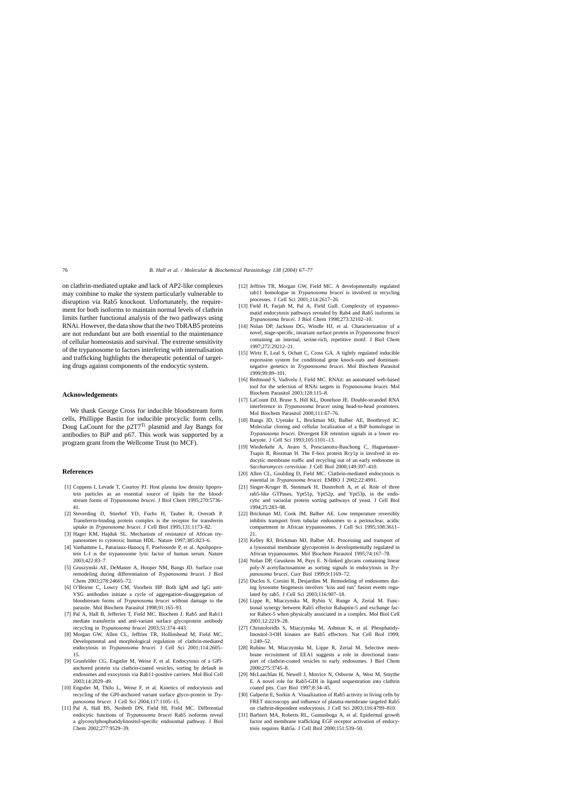<span id="page-9-0"></span>on clathrin-mediated uptake and lack of AP2-like complexes may combine to make the system particularly vulnerable to disruption via Rab5 knockout. Unfortunately, the requirement for both isoforms to maintain normal levels of clathrin limits further functional analysis of the two pathways using RNAi. However, the data show that the two TbRAB5 proteins are not redundant but are both essential to the maintenance of cellular homeostasis and survival. The extreme sensitivity of the trypanosome to factors interfering with internalisation and trafficking highlights the therapeutic potential of targeting drugs against components of the endocytic system.

## **Acknowledgements**

We thank George Cross for inducible bloodstream form cells, Phillippe Bastin for inducible procyclic form cells, Doug LaCount for the  $p2T7^{Ti}$  plasmid and Jay Bangs for antibodies to BiP and p67. This work was supported by a program grant from the Wellcome Trust (to MCF).

#### **References**

- [1] Coppens I, Levade T, Courtoy PJ. Host plasma low density lipoprotein particles as an essential source of lipids for the bloodstream forms of *Trypanosoma brucei*. J Biol Chem 1995;270:5736– 41.
- [2] Steverding D, Stierhof YD, Fuchs H, Tauber R, Overath P. Transferrin-binding protein complex is the receptor for transferrin uptake in *Trypanosoma brucei*. J Cell Biol 1995;131:1173–82.
- [3] Hager KM, Hajduk SL. Mechanism of resistance of African trypanosomes to cytotoxic human HDL. Nature 1997;385:823–6.
- [4] Vanhamme L, Paturiaux-Hanocq F, Poelvoorde P, et al. Apolipoprotein L-I is the trypanosome lytic factor of human serum. Nature 2003;422:83–7.
- [5] Gruszynski AE, DeMaster A, Hooper NM, Bangs JD. Surface coat remodeling during differentiation of *Trypanosoma brucei*. J Biol Chem 2003;278:24665–72.
- [6] O'Beirne C, Lowry CM, Voorheis HP. Both IgM and IgG anti-VSG antibodies initiate a cycle of aggregation–disaggregation of bloodstream forms of *Trypanosoma brucei* without damage to the parasite. Mol Biochem Parasitol 1998;91:165–93.
- [7] Pal A, Hall B, Jefferies T, Field MC. Biochem J. Rab5 and Rab11 mediate transferrin and anti-variant surface glycoprotein antibody recycling in *Trypanosoma brucei* 2003;51:374–443.
- [8] Morgan GW, Allen CL, Jeffries TR, Hollinshead M, Field MC. Developmental and morphological regulation of clathrin-mediated endocytosis in *Trypanosoma brucei*. J Cell Sci 2001;114:2605– 15.
- [9] Grunfelder CG, Engstler M, Weise F, et al. Endocytosis of a GPIanchored protein via clathrin-coated vesicles, sorting by default in endosomes and exocytosis via Rab11-positive carriers. Mol Biol Cell 2003;14:2029–49.
- [10] Engstler M, Thilo L, Weise F, et al. Kinetics of endocytosis and recycling of the GPI-anchored variant surface glyco-protein in *Trypanosoma brucei*. J Cell Sci 2004;117:1105–15.
- [11] Pal A, Hall BS, Nesbeth DN, Field HI, Field MC. Differential endocytic functions of *Trypanosoma brucei* Rab5 isoforms reveal a glycosylphosphatidylinositol-specific endosomal pathway. J Biol Chem 2002;277:9529–39.
- [12] Jeffries TR, Morgan GW, Field MC. A developmentally regulated rab11 homologue in *Trypanosoma brucei* is involved in recycling processes. J Cell Sci 2001;114:2617–26.
- [13] Field H, Farjah M, Pal A, Field Gull. Complexity of trypanosomatid endocytosis pathways revealed by Rab4 and Rab5 isoforms in *Trypanosoma brucei*. J Biol Chem 1998;273:32102–10.
- [14] Nolan DP, Jackson DG, Windle HJ, et al. Characterization of a novel, stage-specific, invariant surface protein in *Trypanosoma brucei* containing an internal, serine-rich, repetitive motif. J Biol Chem 1997;272:29212–21.
- [15] Wirtz E, Leal S, Ochatt C, Cross GA. A tightly regulated inducible expression system for conditional gene knock-outs and dominantnegative genetics in *Trypanosoma brucei*. Mol Biochem Parasitol 1999;99:89–101.
- [16] Redmond S, Vadivelu J, Field MC. RNAit: an automated web-based tool for the selection of RNAi targets in *Trypanosoma brucei*. Mol Biochem Parasitol 2003;128:115–8.
- [17] LaCount DJ, Bruse S, Hill KL, Donelson JE. Double-stranded RNA interference in *Trypanosoma brucei* using head-to-head promoters. Mol Biochem Parasitol 2000;111:67–76.
- [18] Bangs JD, Uyetake L, Brickman MJ, Balber AE, Boothroyd JC. Molecular cloning and cellular localization of a BiP homologue in *Trypanosoma brucei*. Divergent ER retention signals in a lower eukaryote. J Cell Sci 1993;105:1101–13.
- [19] Wiederkehr A, Avaro S, Prescianotto-Baschong C, Haguenauer-Tsapis R, Riezman H. The F-box protein Rcy1p is involved in endocytic membrane traffic and recycling out of an early endosome in *Saccharomyces cerevisiae*. J Cell Biol 2000;149:397–410.
- [20] Allen CL, Goulding D, Field MC. Clathrin-mediated endocytosis is essential in *Trypanosoma brucei*. EMBO J 2002;22:4991.
- [21] Singer-Kruger B, Stenmark H, Dusterhoft A, et al. Role of three rab5-like GTPases, Ypt51p, Ypt52p, and Ypt53p, in the endocytic and vacuolar protein sorting pathways of yeast. J Cell Biol 1994;25:283–98.
- [22] Brickman MJ, Cook JM, Balber AE. Low temperature reversibly inhibits transport from tubular endosomes to a perinuclear, acidic compartment in African trypanosomes. J Cell Sci 1995;108:3611– 21.
- [23] Kelley RJ, Brickman MJ, Balber AE. Processing and transport of a lysosomal membrane glycoprotein is developmentally regulated in African trypanosomes. Mol Biochem Parasitol 1995;74:167–78.
- [24] Nolan DP, Geuskens M, Pays E. N-linked glycans containing linear poly-*N* acetyllactosamine as sorting signals in endocytosis in *Trypanosoma brucei*. Curr Biol 1999;9:1169–72.
- [25] Duclos S, Corsini R, Desjardins M. Remodeling of endosomes during lysosome biogenesis involves 'kiss and run' fusion events regulated by rab5. J Cell Sci 2003;116:907–18.
- [26] Lippe R, Miaczynska M, Rybin V, Runge A, Zerial M. Functional synergy between Rab5 effector Rabaptin-5 and exchange factor Rabex-5 when physically associated in a complex. Mol Biol Cell 2001;12:2219–28.
- [27] Christoforidis S, Miaczynska M, Ashman K, et al. Phosphatidylinositol-3-OH kinases are Rab5 effectors. Nat Cell Biol 1999; 1:249–52.
- [28] Rubino M, Miaczynska M, Lippe R, Zerial M. Selective membrane recruitment of EEA1 suggests a role in directional transport of clathrin-coated vesicles to early endosomes. J Biol Chem 2000;275:3745–8.
- [29] McLauchlan H, Newell J, Morrice N, Osborne A, West M, Smythe E. A novel role for Rab5-GDI in ligand sequestration into clathrin coated pits. Curr Biol 1997;8:34–45.
- [30] Galperin E, Sorkin A. Visualization of Rab5 activity in living cells by FRET microscopy and influence of plasma-membrane targeted Rab5 on clathrin-dependent endocytosis. J Cell Sci 2003;116:4799–810.
- [31] Barbieri MA, Roberts RL, Gumusboga A, et al. Epidermal growth factor and membrane trafficking EGF receptor activation of endocytosis requires Rab5a. J Cell Biol 2000;151:539–50.